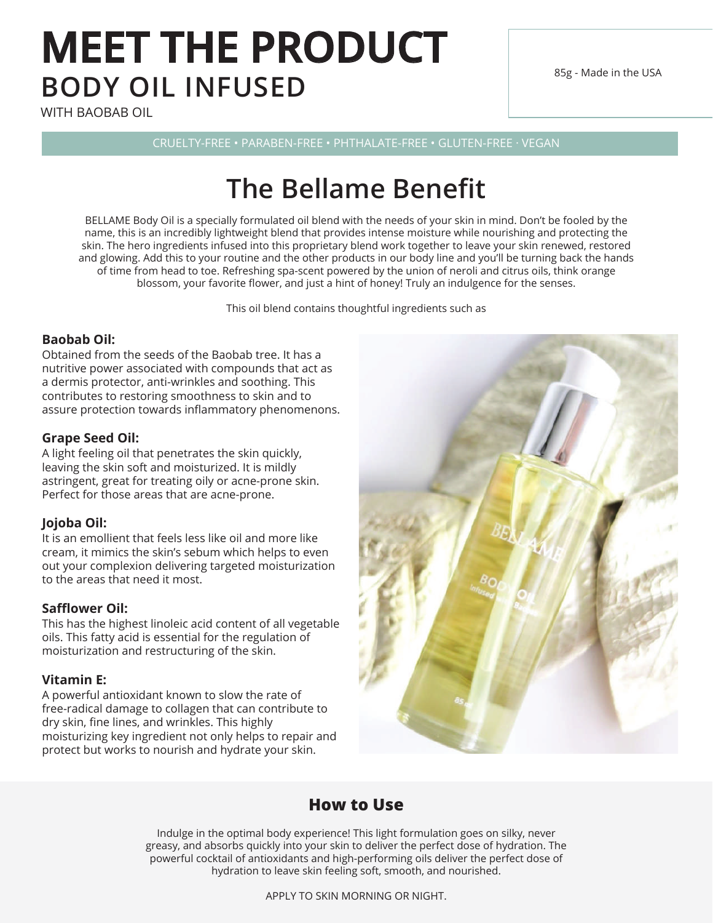# **MEET THE PRODUCT BODY OIL INFUSED**

WITH BAOBAB OIL

85g - Made in the USA

CRUELTY-FREE • PARABEN-FREE • PHTHALATE-FREE • GLUTEN-FREE · VEGAN

# **The Bellame Benefit**

BELLAME Body Oil is a specially formulated oil blend with the needs of your skin in mind. Don't be fooled by the name, this is an incredibly lightweight blend that provides intense moisture while nourishing and protecting the skin. The hero ingredients infused into this proprietary blend work together to leave your skin renewed, restored and glowing. Add this to your routine and the other products in our body line and you'll be turning back the hands of time from head to toe. Refreshing spa-scent powered by the union of neroli and citrus oils, think orange blossom, your favorite flower, and just a hint of honey! Truly an indulgence for the senses.

This oil blend contains thoughtful ingredients such as

#### **Baobab Oil:**

Obtained from the seeds of the Baobab tree. It has a nutritive power associated with compounds that act as a dermis protector, anti-wrinkles and soothing. This contributes to restoring smoothness to skin and to assure protection towards inflammatory phenomenons.

#### **Grape Seed Oil:**

A light feeling oil that penetrates the skin quickly, leaving the skin soft and moisturized. It is mildly astringent, great for treating oily or acne-prone skin. Perfect for those areas that are acne-prone.

#### **Jojoba Oil:**

It is an emollient that feels less like oil and more like cream, it mimics the skin's sebum which helps to even out your complexion delivering targeted moisturization to the areas that need it most.

#### **Safflower Oil:**

This has the highest linoleic acid content of all vegetable oils. This fatty acid is essential for the regulation of moisturization and restructuring of the skin.

#### **Vitamin E:**

A powerful antioxidant known to slow the rate of free-radical damage to collagen that can contribute to dry skin, fine lines, and wrinkles. This highly moisturizing key ingredient not only helps to repair and protect but works to nourish and hydrate your skin.



### **How to Use**

Indulge in the optimal body experience! This light formulation goes on silky, never greasy, and absorbs quickly into your skin to deliver the perfect dose of hydration. The powerful cocktail of antioxidants and high-performing oils deliver the perfect dose of hydration to leave skin feeling soft, smooth, and nourished.

APPLY TO SKIN MORNING OR NIGHT.